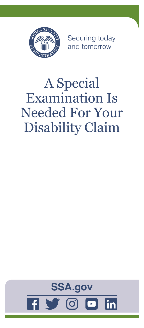

Securing today<br>and tomorrow

# A Special Examination Is Needed For Your Disability Claim

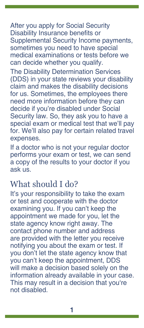After you apply for Social Security Disability Insurance benefits or Supplemental Security Income payments, sometimes you need to have special medical examinations or tests before we can decide whether you qualify.

The Disability Determination Services (DDS) in your state reviews your disability claim and makes the disability decisions for us. Sometimes, the employees there need more information before they can decide if you're disabled under Social Security law. So, they ask you to have a special exam or medical test that we'll pay for. We'll also pay for certain related travel expenses.

If a doctor who is not your regular doctor performs your exam or test, we can send a copy of the results to your doctor if you ask us.

### What should I do?

It's your responsibility to take the exam or test and cooperate with the doctor examining you. If you can't keep the appointment we made for you, let the state agency know right away. The contact phone number and address are provided with the letter you receive notifying you about the exam or test. If you don't let the state agency know that you can't keep the appointment, DDS will make a decision based solely on the information already available in your case. This may result in a decision that you're not disabled.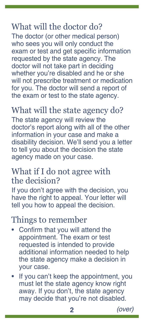# What will the doctor do?

The doctor (or other medical person) who sees you will only conduct the exam or test and get specific information requested by the state agency. The doctor will not take part in deciding whether you're disabled and he or she will not prescribe treatment or medication for you. The doctor will send a report of the exam or test to the state agency.

## What will the state agency do?

The state agency will review the doctor's report along with all of the other information in your case and make a disability decision. We'll send you a letter to tell you about the decision the state agency made on your case.

#### What if I do not agree with the decision?

If you don't agree with the decision, you have the right to appeal. Your letter will tell you how to appeal the decision.

#### Things to remember

- Confirm that you will attend the appointment. The exam or test requested is intended to provide additional information needed to help the state agency make a decision in your case.
- If you can't keep the appointment, you must let the state agency know right away. If you don't, the state agency may decide that you're not disabled.

**2** *(over)*